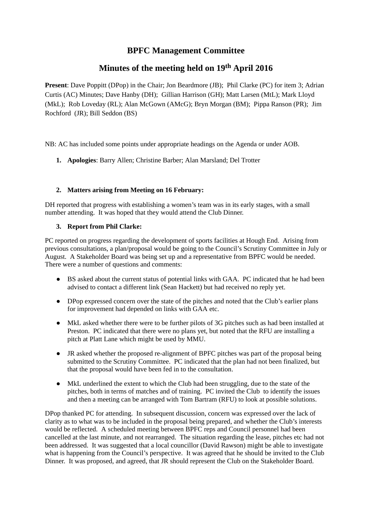# **BPFC Management Committee**

# **Minutes of the meeting held on 19 th April 2016**

**Present**: Dave Poppitt (DPop) in the Chair; Jon Beardmore (JB); Phil Clarke (PC) for item 3; Adrian Curtis (AC) Minutes; Dave Hanby (DH); Gillian Harrison (GH); Matt Larsen (MtL); Mark Lloyd (MkL); Rob Loveday (RL); Alan McGown (AMcG); Bryn Morgan (BM); Pippa Ranson (PR); Jim Rochford (JR); Bill Seddon (BS)

NB: AC has included some points under appropriate headings on the Agenda or under AOB.

**1. Apologies**: Barry Allen; Christine Barber; Alan Marsland; Del Trotter

# **2. Matters arising from Meeting on 16 February:**

DH reported that progress with establishing a women's team was in its early stages, with a small number attending. It was hoped that they would attend the Club Dinner.

# **3. Report from Phil Clarke:**

PC reported on progress regarding the development of sports facilities at Hough End. Arising from previous consultations, a plan/proposal would be going to the Council's Scrutiny Committee in July or August. A Stakeholder Board was being set up and a representative from BPFC would be needed. There were a number of questions and comments:

- BS asked about the current status of potential links with GAA. PC indicated that he had been advised to contact a different link (Sean Hackett) but had received no reply yet. ●
- DPop expressed concern over the state of the pitches and noted that the Club's earlier plans for improvement had depended on links with GAA etc.
- MkL asked whether there were to be further pilots of 3G pitches such as had been installed at Preston. PC indicated that there were no plans yet, but noted that the RFU are installing a pitch at Platt Lane which might be used by MMU.
- JR asked whether the proposed re-alignment of BPFC pitches was part of the proposal being submitted to the Scrutiny Committee. PC indicated that the plan had not been finalized, but that the proposal would have been fed in to the consultation.
- MkL underlined the extent to which the Club had been struggling, due to the state of the pitches, both in terms of matches and of training. PC invited the Club to identify the issues and then a meeting can be arranged with Tom Bartram (RFU) to look at possible solutions. ●

DPop thanked PC for attending. In subsequent discussion, concern was expressed over the lack of clarity as to what was to be included in the proposal being prepared, and whether the Club's interests would be reflected. A scheduled meeting between BPFC reps and Council personnel had been cancelled at the last minute, and not rearranged. The situation regarding the lease, pitches etc had not been addressed. It was suggested that a local councillor (David Rawson) might be able to investigate what is happening from the Council's perspective. It was agreed that he should be invited to the Club Dinner. It was proposed, and agreed, that JR should represent the Club on the Stakeholder Board.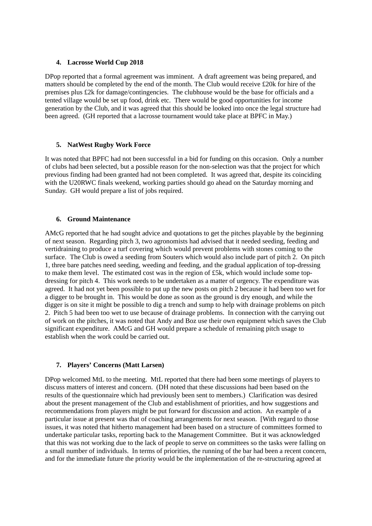# **4. Lacrosse World Cup 2018**

DPop reported that a formal agreement was imminent. A draft agreement was being prepared, and matters should be completed by the end of the month. The Club would receive £20k for hire of the premises plus £2k for damage/contingencies. The clubhouse would be the base for officials and a tented village would be set up food, drink etc. There would be good opportunities for income generation by the Club, and it was agreed that this should be looked into once the legal structure had been agreed. (GH reported that a lacrosse tournament would take place at BPFC in May.)

# **5. NatWest Rugby Work Force**

It was noted that BPFC had not been successful in a bid for funding on this occasion. Only a number of clubs had been selected, but a possible reason for the non-selection was that the project for which previous finding had been granted had not been completed. It was agreed that, despite its coinciding with the U20RWC finals weekend, working parties should go ahead on the Saturday morning and Sunday. GH would prepare a list of jobs required.

# **6. Ground Maintenance**

AMcG reported that he had sought advice and quotations to get the pitches playable by the beginning of next season. Regarding pitch 3, two agronomists had advised that it needed seeding, feeding and vertidraining to produce a turf covering which would prevent problems with stones coming to the surface. The Club is owed a seeding from Souters which would also include part of pitch 2. On pitch 1, three bare patches need seeding, weeding and feeding, and the gradual application of top-dressing to make them level. The estimated cost was in the region of £5k, which would include some topdressing for pitch 4. This work needs to be undertaken as a matter of urgency. The expenditure was agreed. It had not yet been possible to put up the new posts on pitch 2 because it had been too wet for a digger to be brought in. This would be done as soon as the ground is dry enough, and while the digger is on site it might be possible to dig a trench and sump to help with drainage problems on pitch 2. Pitch 5 had been too wet to use because of drainage problems. In connection with the carrying out of work on the pitches, it was noted that Andy and Boz use their own equipment which saves the Club significant expenditure. AMcG and GH would prepare a schedule of remaining pitch usage to establish when the work could be carried out.

# **7. Players' Concerns (Matt Larsen)**

DPop welcomed MtL to the meeting. MtL reported that there had been some meetings of players to discuss matters of interest and concern. (DH noted that these discussions had been based on the results of the questionnaire which had previously been sent to members.) Clarification was desired about the present management of the Club and establishment of priorities, and how suggestions and recommendations from players might be put forward for discussion and action. An example of a particular issue at present was that of coaching arrangements for next season. [With regard to those issues, it was noted that hitherto management had been based on a structure of committees formed to undertake particular tasks, reporting back to the Management Committee. But it was acknowledged that this was not working due to the lack of people to serve on committees so the tasks were falling on a small number of individuals. In terms of priorities, the running of the bar had been a recent concern, and for the immediate future the priority would be the implementation of the re-structuring agreed at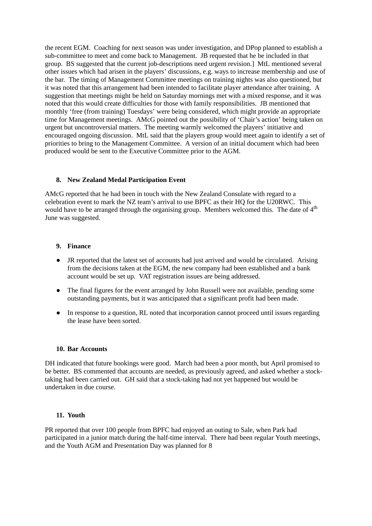the recent EGM. Coaching for next season was under investigation, and DPop planned to establish a sub-committee to meet and come back to Management. JB requested that he be included in that group. BS suggested that the current job-descriptions need urgent revision.] MtL mentioned several other issues which had arisen in the players' discussions, e.g. ways to increase membership and use of the bar. The timing of Management Committee meetings on training nights was also questioned, but it was noted that this arrangement had been intended to facilitate player attendance after training. A suggestion that meetings might be held on Saturday mornings met with a mixed response, and it was noted that this would create difficulties for those with family responsibilities. JB mentioned that monthly 'free (from training) Tuesdays' were being considered, which might provide an appropriate time for Management meetings. AMcG pointed out the possibility of 'Chair's action' being taken on urgent but uncontroversial matters. The meeting warmly welcomed the players' initiative and encouraged ongoing discussion. MtL said that the players group would meet again to identify a set of priorities to bring to the Management Committee. A version of an initial document which had been produced would be sent to the Executive Committee prior to the AGM.

# **8. New Zealand Medal Participation Event**

AMcG reported that he had been in touch with the New Zealand Consulate with regard to a celebration event to mark the NZ team's arrival to use BPFC as their HQ for the U20RWC. This would have to be arranged through the organising group. Members welcomed this. The date of  $4<sup>th</sup>$ June was suggested.

#### **9. Finance**

- JR reported that the latest set of accounts had just arrived and would be circulated. Arising from the decisions taken at the EGM, the new company had been established and a bank account would be set up. VAT registration issues are being addressed.
- The final figures for the event arranged by John Russell were not available, pending some outstanding payments, but it was anticipated that a significant profit had been made.
- In response to a question, RL noted that incorporation cannot proceed until issues regarding the lease have been sorted.  $\bullet$

#### **10. Bar Accounts**

DH indicated that future bookings were good. March had been a poor month, but April promised to be better. BS commented that accounts are needed, as previously agreed, and asked whether a stocktaking had been carried out. GH said that a stock-taking had not yet happened but would be undertaken in due course.

#### **11. Youth**

PR reported that over 100 people from BPFC had enjoyed an outing to Sale, when Park had participated in a junior match during the half-time interval. There had been regular Youth meetings, and the Youth AGM and Presentation Day was planned for 8